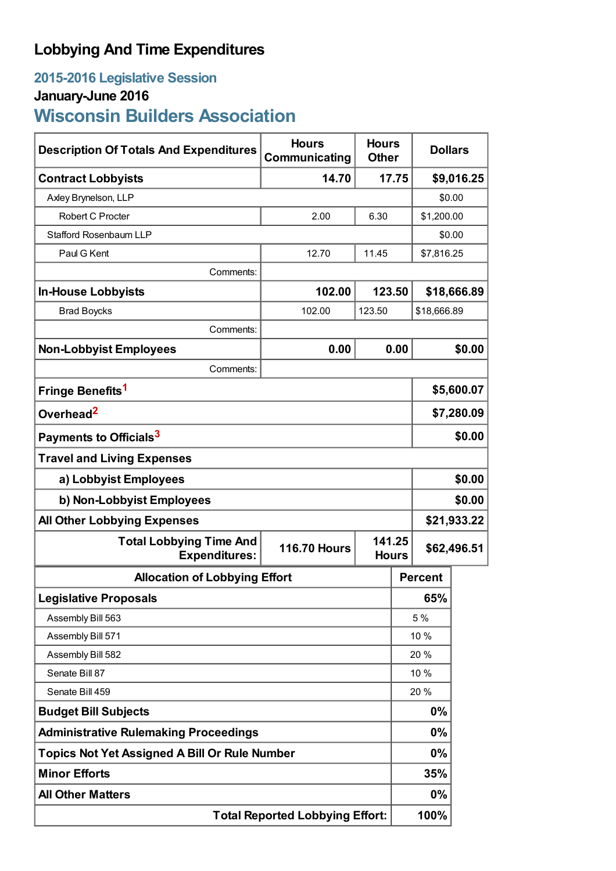# **Lobbying And Time Expenditures**

## **2015-2016 Legislative Session**

### **January-June 2016**

**Wisconsin Builders Association**

| <b>Description Of Totals And Expenditures</b>          | <b>Hours</b><br><b>Hours</b><br>Communicating<br><b>Other</b> |                        |        | <b>Dollars</b> |             |
|--------------------------------------------------------|---------------------------------------------------------------|------------------------|--------|----------------|-------------|
| <b>Contract Lobbyists</b>                              | 14.70<br>17.75                                                |                        |        | \$9,016.25     |             |
| Axley Brynelson, LLP                                   |                                                               |                        |        | \$0.00         |             |
| Robert C Procter                                       | 2.00                                                          | 6.30                   |        | \$1,200.00     |             |
| <b>Stafford Rosenbaum LLP</b>                          |                                                               |                        |        | \$0.00         |             |
| Paul G Kent                                            | 12.70                                                         | 11.45                  |        | \$7,816.25     |             |
| Comments:                                              |                                                               |                        |        |                |             |
| <b>In-House Lobbyists</b>                              | 102.00                                                        |                        | 123.50 |                | \$18,666.89 |
| <b>Brad Boycks</b>                                     | 102.00                                                        | 123.50                 |        | \$18,666.89    |             |
| Comments:                                              |                                                               |                        |        |                |             |
| <b>Non-Lobbyist Employees</b>                          | 0.00                                                          | 0.00                   |        | \$0.00         |             |
| Comments:                                              |                                                               |                        |        |                |             |
| Fringe Benefits <sup>1</sup>                           |                                                               |                        |        | \$5,600.07     |             |
| Overhead <sup>2</sup>                                  |                                                               |                        |        | \$7,280.09     |             |
| Payments to Officials <sup>3</sup>                     |                                                               |                        |        | \$0.00         |             |
| <b>Travel and Living Expenses</b>                      |                                                               |                        |        |                |             |
| a) Lobbyist Employees                                  |                                                               |                        |        | \$0.00         |             |
| b) Non-Lobbyist Employees                              |                                                               |                        |        | \$0.00         |             |
| \$21,933.22<br><b>All Other Lobbying Expenses</b>      |                                                               |                        |        |                |             |
| <b>Total Lobbying Time And</b><br><b>Expenditures:</b> | <b>116.70 Hours</b>                                           | 141.25<br><b>Hours</b> |        | \$62,496.51    |             |
| <b>Allocation of Lobbying Effort</b>                   |                                                               |                        |        | <b>Percent</b> |             |
| <b>Legislative Proposals</b>                           |                                                               |                        |        | 65%            |             |
| Assembly Bill 563                                      |                                                               |                        |        | 5 %            |             |
| Assembly Bill 571                                      |                                                               |                        | 10 %   |                |             |
| Assembly Bill 582                                      |                                                               |                        | 20 %   |                |             |
| Senate Bill 87                                         |                                                               |                        | 10 %   |                |             |
| Senate Bill 459                                        |                                                               |                        | 20 %   |                |             |
| <b>Budget Bill Subjects</b>                            |                                                               |                        | 0%     |                |             |
| <b>Administrative Rulemaking Proceedings</b>           |                                                               |                        | 0%     |                |             |
| <b>Topics Not Yet Assigned A Bill Or Rule Number</b>   |                                                               |                        | 0%     |                |             |
| <b>Minor Efforts</b>                                   |                                                               |                        | 35%    |                |             |
| <b>All Other Matters</b>                               |                                                               |                        |        | 0%             |             |
| <b>Total Reported Lobbying Effort:</b>                 |                                                               |                        |        | 100%           |             |